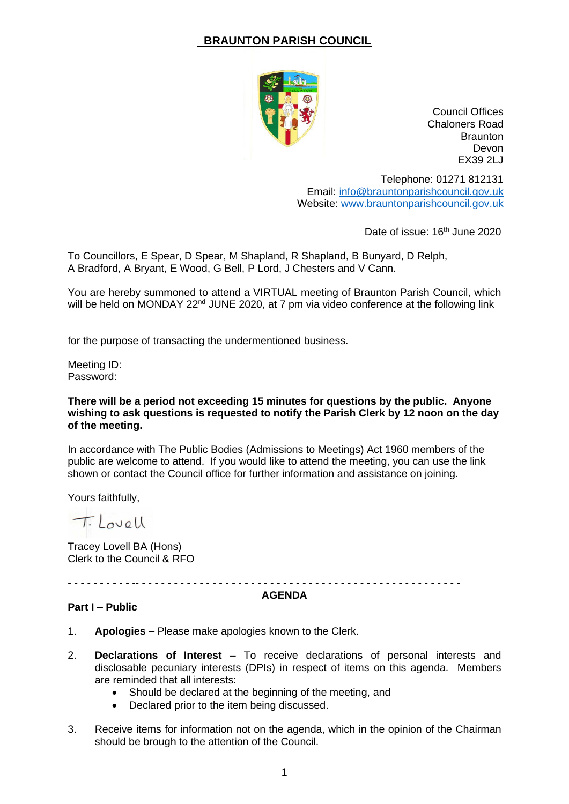# **BRAUNTON PARISH COUNCIL**



Council Offices Chaloners Road **Braunton** Devon EX39 2LJ

Telephone: 01271 812131 Email: [info@brauntonparishcouncil.gov.uk](mailto:info@brauntonparishcouncil.gov.uk) Website: [www.brauntonparishcouncil.gov.uk](http://www.brauntonparishcouncil.gov.uk/)

Date of issue: 16<sup>th</sup> June 2020

To Councillors, E Spear, D Spear, M Shapland, R Shapland, B Bunyard, D Relph, A Bradford, A Bryant, E Wood, G Bell, P Lord, J Chesters and V Cann.

You are hereby summoned to attend a VIRTUAL meeting of Braunton Parish Council, which will be held on MONDAY 22<sup>nd</sup> JUNE 2020, at 7 pm via video conference at the following link

for the purpose of transacting the undermentioned business.

Meeting ID: Password:

### **There will be a period not exceeding 15 minutes for questions by the public. Anyone wishing to ask questions is requested to notify the Parish Clerk by 12 noon on the day of the meeting.**

In accordance with The Public Bodies (Admissions to Meetings) Act 1960 members of the public are welcome to attend. If you would like to attend the meeting, you can use the link shown or contact the Council office for further information and assistance on joining.

Yours faithfully,

Tilovell

Tracey Lovell BA (Hons) Clerk to the Council & RFO

#### **AGENDA**

- - - - - - - - - - -- - - - - - - - - - - - - - - - - - - - - - - - - - - - - - - - - - - - - - - - - - - - - - - - - - -

## **Part I – Public**

- 1. **Apologies –** Please make apologies known to the Clerk.
- 2. **Declarations of Interest –** To receive declarations of personal interests and disclosable pecuniary interests (DPIs) in respect of items on this agenda. Members are reminded that all interests:
	- Should be declared at the beginning of the meeting, and
	- Declared prior to the item being discussed.
- 3. Receive items for information not on the agenda, which in the opinion of the Chairman should be brough to the attention of the Council.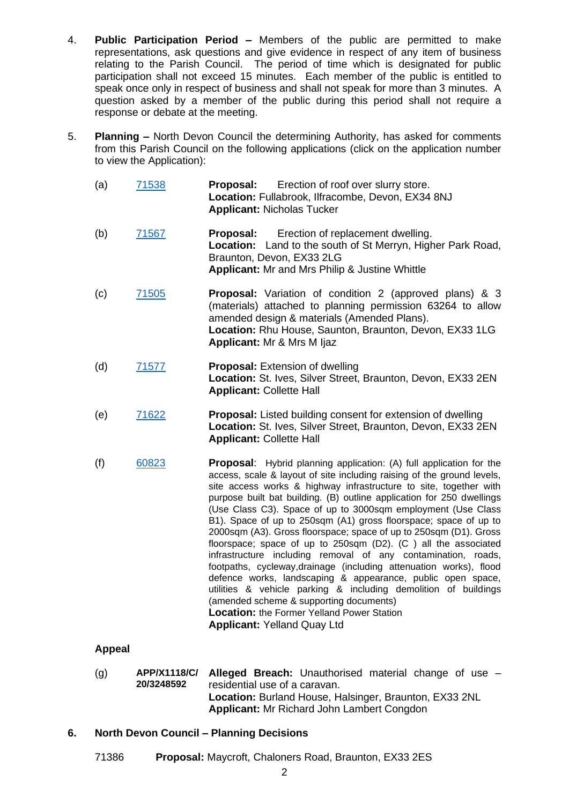- 4. **Public Participation Period –** Members of the public are permitted to make representations, ask questions and give evidence in respect of any item of business relating to the Parish Council. The period of time which is designated for public participation shall not exceed 15 minutes. Each member of the public is entitled to speak once only in respect of business and shall not speak for more than 3 minutes. A question asked by a member of the public during this period shall not require a response or debate at the meeting.
- 5. **Planning –** North Devon Council the determining Authority, has asked for comments from this Parish Council on the following applications (click on the application number to view the Application):

| (a) | 71538        | Proposal:<br>Erection of roof over slurry store.<br>Location: Fullabrook, Ilfracombe, Devon, EX34 8NJ<br><b>Applicant: Nicholas Tucker</b>                                                                                                                                                                                                                                                                                                                                                                                                                                                                                                                                                                                                                                                                                                                                                                                                                                                    |
|-----|--------------|-----------------------------------------------------------------------------------------------------------------------------------------------------------------------------------------------------------------------------------------------------------------------------------------------------------------------------------------------------------------------------------------------------------------------------------------------------------------------------------------------------------------------------------------------------------------------------------------------------------------------------------------------------------------------------------------------------------------------------------------------------------------------------------------------------------------------------------------------------------------------------------------------------------------------------------------------------------------------------------------------|
| (b) | 71567        | Erection of replacement dwelling.<br>Proposal:<br><b>Location:</b> Land to the south of St Merryn, Higher Park Road,<br>Braunton, Devon, EX33 2LG<br><b>Applicant:</b> Mr and Mrs Philip & Justine Whittle                                                                                                                                                                                                                                                                                                                                                                                                                                                                                                                                                                                                                                                                                                                                                                                    |
| (c) | 71505        | <b>Proposal:</b> Variation of condition 2 (approved plans) & 3<br>(materials) attached to planning permission 63264 to allow<br>amended design & materials (Amended Plans).<br>Location: Rhu House, Saunton, Braunton, Devon, EX33 1LG<br>Applicant: Mr & Mrs M Ijaz                                                                                                                                                                                                                                                                                                                                                                                                                                                                                                                                                                                                                                                                                                                          |
| (d) | <u>71577</u> | <b>Proposal:</b> Extension of dwelling<br>Location: St. Ives, Silver Street, Braunton, Devon, EX33 2EN<br><b>Applicant: Collette Hall</b>                                                                                                                                                                                                                                                                                                                                                                                                                                                                                                                                                                                                                                                                                                                                                                                                                                                     |
| (e) | 71622        | <b>Proposal:</b> Listed building consent for extension of dwelling<br>Location: St. Ives, Silver Street, Braunton, Devon, EX33 2EN<br><b>Applicant: Collette Hall</b>                                                                                                                                                                                                                                                                                                                                                                                                                                                                                                                                                                                                                                                                                                                                                                                                                         |
| (f) | 60823        | <b>Proposal:</b> Hybrid planning application: (A) full application for the<br>access, scale & layout of site including raising of the ground levels,<br>site access works & highway infrastructure to site, together with<br>purpose built bat building. (B) outline application for 250 dwellings<br>(Use Class C3). Space of up to 3000sqm employment (Use Class<br>B1). Space of up to 250sqm (A1) gross floorspace; space of up to<br>2000sqm (A3). Gross floorspace; space of up to 250sqm (D1). Gross<br>floorspace; space of up to 250sqm (D2). (C ) all the associated<br>infrastructure including removal of any contamination, roads,<br>footpaths, cycleway, drainage (including attenuation works), flood<br>defence works, landscaping & appearance, public open space,<br>utilities & vehicle parking & including demolition of buildings<br>(amended scheme & supporting documents)<br><b>Location: the Former Yelland Power Station</b><br><b>Applicant: Yelland Quay Ltd</b> |

## **Appeal**

- (g) **APP/X1118/C/ 20/3248592 Alleged Breach:** Unauthorised material change of use – residential use of a caravan. **Location:** Burland House, Halsinger, Braunton, EX33 2NL **Applicant:** Mr Richard John Lambert Congdon
- **6. North Devon Council – Planning Decisions**
	- 71386 **Proposal:** Maycroft, Chaloners Road, Braunton, EX33 2ES